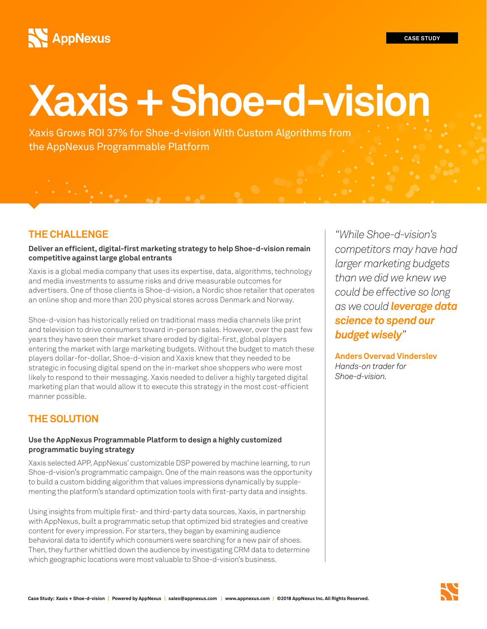#### **CASE STUDY**

# **AppNexus**

# **Xaxis + Shoe-d-vision**

Xaxis Grows ROI 37% for Shoe-d-vision With Custom Algorithms from the AppNexus Programmable Platform

# **THE CHALLENGE**

#### **Deliver an efficient, digital-first marketing strategy to help Shoe-d-vision remain competitive against large global entrants**

Xaxis is a global media company that uses its expertise, data, algorithms, technology and media investments to assume risks and drive measurable outcomes for advertisers. One of those clients is Shoe-d-vision, a Nordic shoe retailer that operates an online shop and more than 200 physical stores across Denmark and Norway.

Shoe-d-vision has historically relied on traditional mass media channels like print and television to drive consumers toward in-person sales. However, over the past few years they have seen their market share eroded by digital-first, global players entering the market with large marketing budgets. Without the budget to match these players dollar-for-dollar, Shoe-d-vision and Xaxis knew that they needed to be strategic in focusing digital spend on the in-market shoe shoppers who were most likely to respond to their messaging. Xaxis needed to deliver a highly targeted digital marketing plan that would allow it to execute this strategy in the most cost-efficient manner possible.

# **THE SOLUTION**

### **Use the AppNexus Programmable Platform to design a highly customized programmatic buying strategy**

Xaxis selected APP, AppNexus' customizable DSP powered by machine learning, to run Shoe-d-vision's programmatic campaign. One of the main reasons was the opportunity to build a custom bidding algorithm that values impressions dynamically by supplementing the platform's standard optimization tools with first-party data and insights.

Using insights from multiple first- and third-party data sources, Xaxis, in partnership with AppNexus, built a programmatic setup that optimized bid strategies and creative content for every impression. For starters, they began by examining audience behavioral data to identify which consumers were searching for a new pair of shoes. Then, they further whittled down the audience by investigating CRM data to determine which geographic locations were most valuable to Shoe-d-vision's business.

*"While Shoe-d-vision's competitors may have had larger marketing budgets than we did we knew we could be effective so long as we could leverage data science to spend our budget wisely"* 

**Anders Overvad Vinderslev**  *Hands-on trader for Shoe-d-vision.*